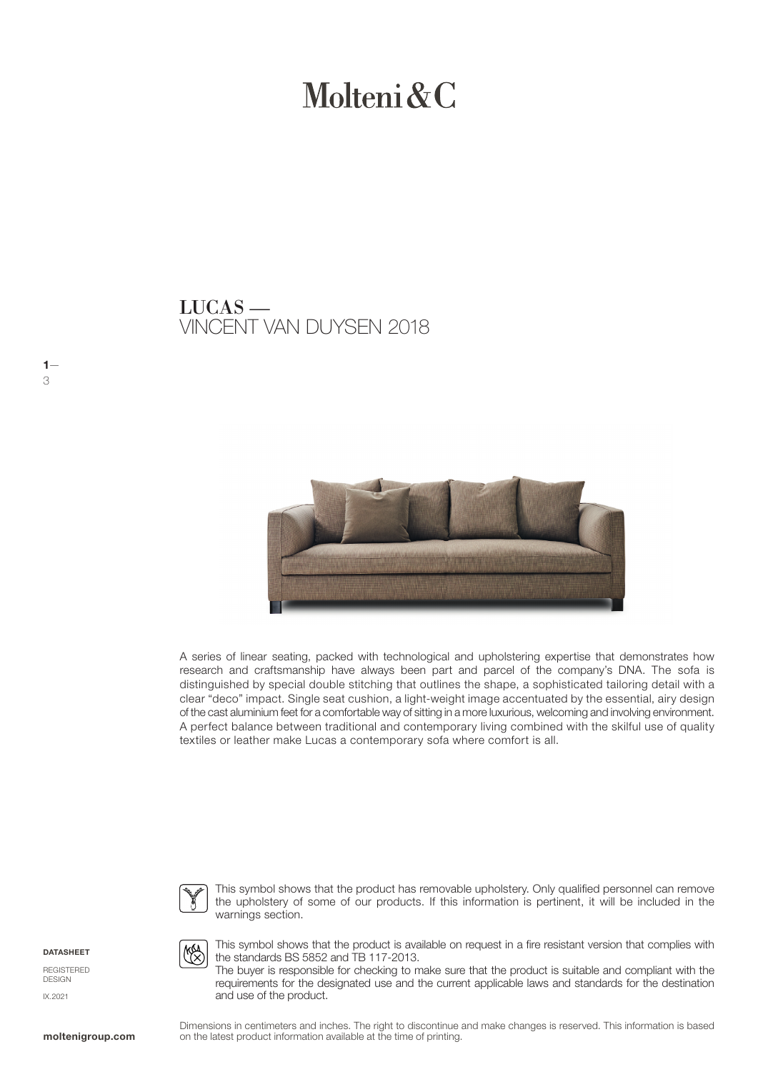# Molteni & C

VINCENT VAN DUYSEN 2018 LUCAS —



A series of linear seating, packed with technological and upholstering expertise that demonstrates how research and craftsmanship have always been part and parcel of the company's DNA. The sofa is distinguished by special double stitching that outlines the shape, a sophisticated tailoring detail with a clear "deco" impact. Single seat cushion, a light-weight image accentuated by the essential, airy design of the cast aluminium feet for a comfortable way of sitting in a more luxurious, welcoming and involving environment. A perfect balance between traditional and contemporary living combined with the skilful use of quality textiles or leather make Lucas a contemporary sofa where comfort is all.



This symbol shows that the product has removable upholstery. Only qualified personnel can remove the upholstery of some of our products. If this information is pertinent, it will be included in the warnings section.

**DATASHEET** 

 $1-$ 

3

REGISTERED DESIGN IX.2021



This symbol shows that the product is available on request in a fire resistant version that complies with the standards BS 5852 and TB 117-2013.

The buyer is responsible for checking to make sure that the product is suitable and compliant with the requirements for the designated use and the current applicable laws and standards for the destination and use of the product.

Dimensions in centimeters and inches. The right to discontinue and make changes is reserved. This information is based **moltenigroup.com** on the latest product information available at the time of printing.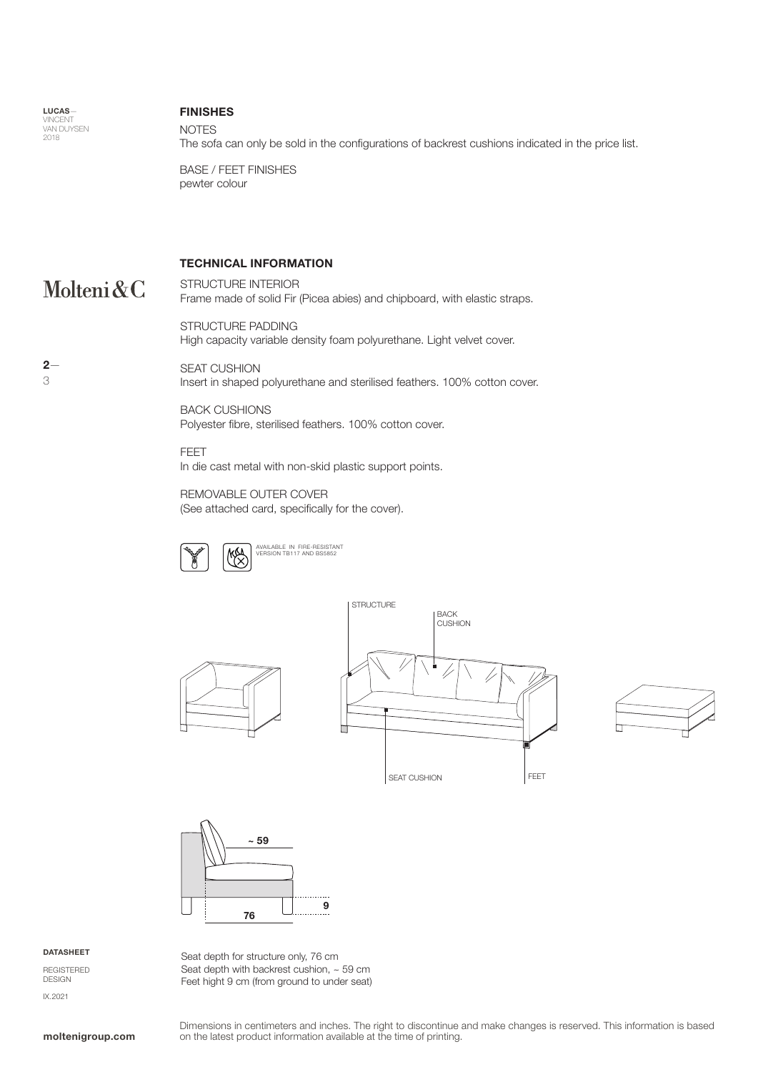LUCAS— VINCENT<br>VAN DUYSEN 2018

## NOTES FINISHES

The sofa can only be sold in the configurations of backrest cushions indicated in the price list.

BASE / FEET FINISHES pewter colour

# TECHNICAL INFORMATION

Molteni&C

 $2-$ 

3

STRUCTURE INTERIOR Frame made of solid Fir (Picea abies) and chipboard, with elastic straps.

STRUCTURE PADDING High capacity variable density foam polyurethane. Light velvet cover.

SEAT CUSHION Insert in shaped polyurethane and sterilised feathers. 100% cotton cover.

BACK CUSHIONS Polyester fibre, sterilised feathers. 100% cotton cover.

FEET In die cast metal with non-skid plastic support points.

REMOVABLE OUTER COVER

(See attached card, specifically for the cover).









### DATASHEET

REGISTERED DESIGN IX.2021

Seat depth for structure only, 76 cm Seat depth with backrest cushion, ~ 59 cm Feet hight 9 cm (from ground to under seat)

Dimensions in centimeters and inches. The right to discontinue and make changes is reserved. This information is based **moltenigroup.com** on the latest product information available at the time of printing.